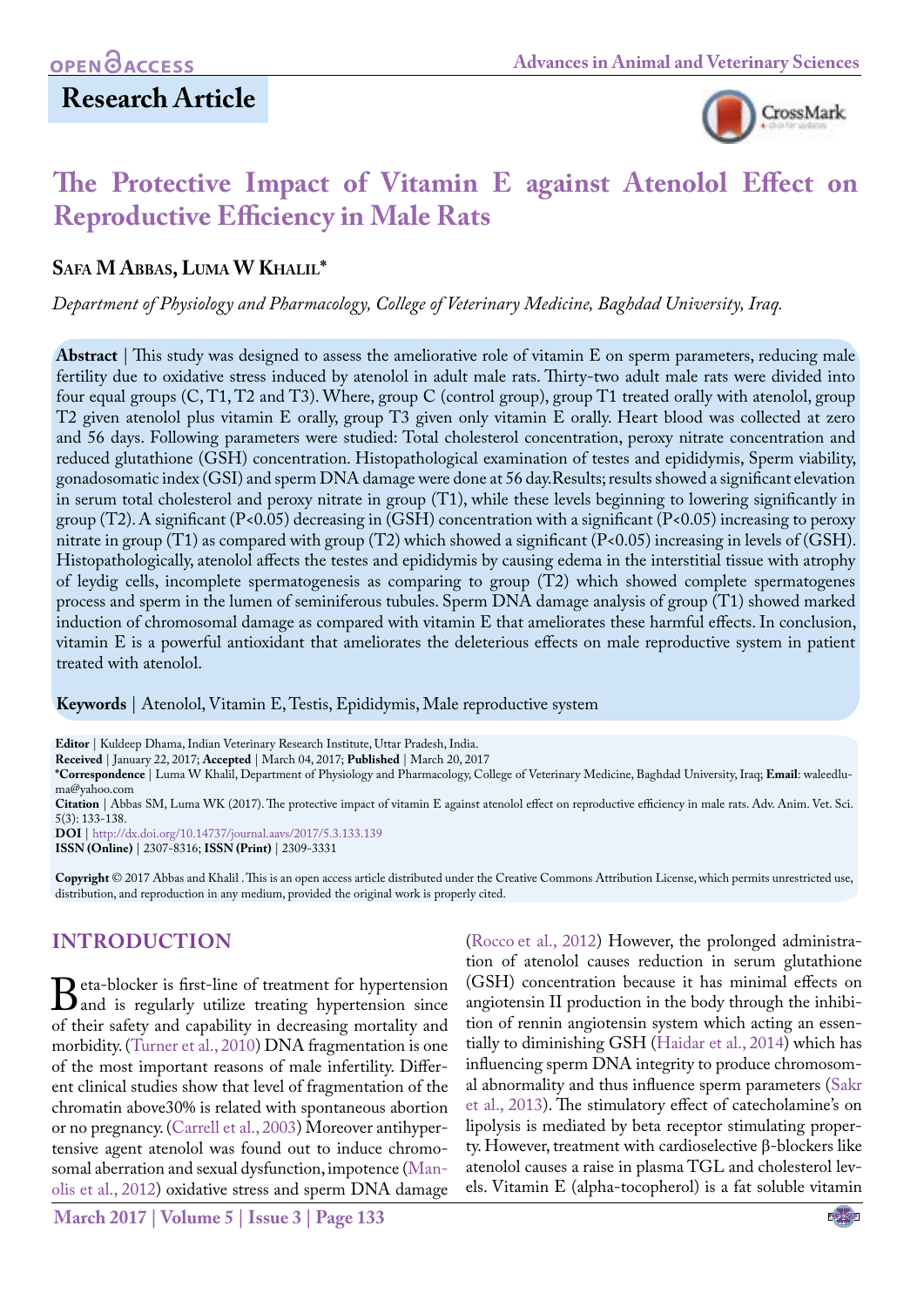## **Research Article**



# **The Protective Impact of Vitamin E against Atenolol Effect on Reproductive Efficiency in Male Rats**

### **Safa M Abbas, Luma W Khalil\***

*Department of Physiology and Pharmacology, College of Veterinary Medicine, Baghdad University, Iraq.*

**Abstract** | This study was designed to assess the ameliorative role of vitamin E on sperm parameters, reducing male fertility due to oxidative stress induced by atenolol in adult male rats. Thirty-two adult male rats were divided into four equal groups (C, T1, T2 and T3). Where, group C (control group), group T1 treated orally with atenolol, group T2 given atenolol plus vitamin E orally, group T3 given only vitamin E orally. Heart blood was collected at zero and 56 days. Following parameters were studied: Total cholesterol concentration, peroxy nitrate concentration and reduced glutathione (GSH) concentration. Histopathological examination of testes and epididymis, Sperm viability, gonadosomatic index (GSI) and sperm DNA damage were done at 56 day.Results; results showed a significant elevation in serum total cholesterol and peroxy nitrate in group (T1), while these levels beginning to lowering significantly in group (T2). A significant (P<0.05) decreasing in (GSH) concentration with a significant (P<0.05) increasing to peroxy nitrate in group (T1) as compared with group (T2) which showed a significant (P<0.05) increasing in levels of (GSH). Histopathologically, atenolol affects the testes and epididymis by causing edema in the interstitial tissue with atrophy of leydig cells, incomplete spermatogenesis as comparing to group (T2) which showed complete spermatogenes process and sperm in the lumen of seminiferous tubules. Sperm DNA damage analysis of group (T1) showed marked induction of chromosomal damage as compared with vitamin E that ameliorates these harmful effects. In conclusion, vitamin E is a powerful antioxidant that ameliorates the deleterious effects on male reproductive system in patient treated with atenolol.

**Keywords** | Atenolol, Vitamin E, Testis, Epididymis, Male reproductive system

**Editor** | Kuldeep Dhama, Indian Veterinary Research Institute, Uttar Pradesh, India.

**Received** | January 22, 2017; **Accepted** | March 04, 2017; **Published** | March 20, 2017

**\*Correspondence** | Luma W Khalil, Department of Physiology and Pharmacology, College of Veterinary Medicine, Baghdad University, Iraq; **Email**: waleedluma@yahoo.com

**Citation** | Abbas SM, Luma WK (2017). The protective impact of vitamin E against atenolol effect on reproductive efficiency in male rats. Adv. Anim. Vet. Sci. 5(3): 133-138.

**DOI** | <http://dx.doi.org/10.14737/journal.aavs/2017/5.3.133.139>

**ISSN (Online)** | 2307-8316; **ISSN (Print)** | 2309-3331

**Copyright** © 2017 Abbas and Khalil . This is an open access article distributed under the Creative Commons Attribution License, which permits unrestricted use, distribution, and reproduction in any medium, provided the original work is properly cited.

## **INTRODUCTION**

**B**eta-blocker is first-line of treatment for hypertension<br>of their safety and canability in decreasing mortality and of their safety and capability in decreasing mortality and morbidity. [\(Turner et al., 2010](#page-5-0)) DNA fragmentation is one of the most important reasons of male infertility. Different clinical studies show that level of fragmentation of the chromatin above30% is related with spontaneous abortion or no pregnancy. ([Carrell et al., 2003\)](#page-5-1) Moreover antihypertensive agent atenolol was found out to induce chromosomal aberration and sexual dysfunction, impotence [\(Man](#page-5-2)[olis et al., 2012](#page-5-2)) oxidative stress and sperm DNA damage

(Rocco [et al., 2012](#page-5-3)) However, the prolonged administration of atenolol causes reduction in serum glutathione (GSH) concentration because it has minimal effects on angiotensin II production in the body through the inhibition of rennin angiotensin system which acting an essentially to diminishing GSH [\(Haidar et al., 2014](#page-5-4)) which has influencing sperm DNA integrity to produce chromosomal abnormality and thus influence sperm parameters ([Sakr](#page-5-5)  [et al., 2013\)](#page-5-5). The stimulatory effect of catecholamine's on lipolysis is mediated by beta receptor stimulating property. However, treatment with cardioselective β-blockers like atenolol causes a raise in plasma TGL and cholesterol levels. Vitamin E (alpha-tocopherol) is a fat soluble vitamin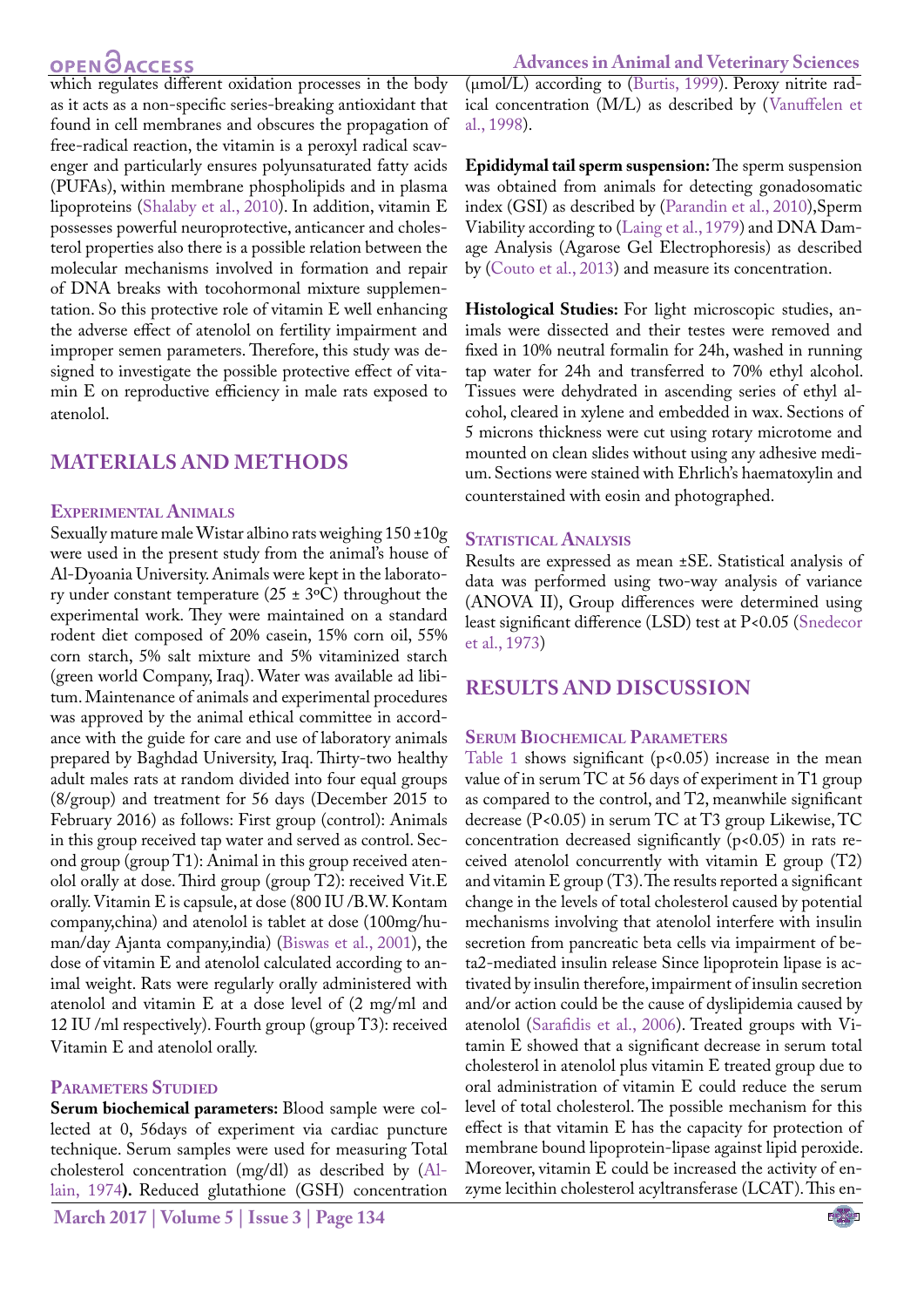## OPEN **OACCESS**

which regulates different oxidation processes in the body as it acts as a non-specific series-breaking antioxidant that found in cell membranes and obscures the propagation of free-radical reaction, the vitamin is a peroxyl radical scavenger and particularly ensures polyunsaturated fatty acids (PUFAs), within membrane phospholipids and in plasma lipoproteins [\(Shalaby et al., 2010](#page-5-6)). In addition, vitamin E possesses powerful neuroprotective, anticancer and cholesterol properties also there is a possible relation between the molecular mechanisms involved in formation and repair of DNA breaks with tocohormonal mixture supplementation. So this protective role of vitamin E well enhancing the adverse effect of atenolol on fertility impairment and improper semen parameters. Therefore, this study was designed to investigate the possible protective effect of vitamin E on reproductive efficiency in male rats exposed to atenolol.

### **Materials and Methods**

#### **Experimental Animals**

Sexually mature male Wistar albino rats weighing 150 ±10g were used in the present study from the animal's house of Al-Dyoania University. Animals were kept in the laboratory under constant temperature ( $25 \pm 3$ °C) throughout the experimental work. They were maintained on a standard rodent diet composed of 20% casein, 15% corn oil, 55% corn starch, 5% salt mixture and 5% vitaminized starch (green world Company, Iraq). Water was available ad libitum. Maintenance of animals and experimental procedures was approved by the animal ethical committee in accordance with the guide for care and use of laboratory animals prepared by Baghdad University, Iraq. Thirty-two healthy adult males rats at random divided into four equal groups (8/group) and treatment for 56 days (December 2015 to February 2016) as follows: First group (control): Animals in this group received tap water and served as control. Second group (group T1): Animal in this group received atenolol orally at dose. Third group (group T2): received Vit.E orally. Vitamin E is capsule, at dose (800 IU /B.W. Kontam company,china) and atenolol is tablet at dose (100mg/human/day Ajanta company,india) ([Biswas et al., 2001](#page-5-7)), the dose of vitamin E and atenolol calculated according to animal weight. Rats were regularly orally administered with atenolol and vitamin E at a dose level of (2 mg/ml and 12 IU /ml respectively). Fourth group (group T3): received Vitamin E and atenolol orally.

#### **Parameters Studied**

**Serum biochemical parameters:** Blood sample were collected at 0, 56days of experiment via cardiac puncture technique. Serum samples were used for measuring Total cholesterol concentration (mg/dl) as described by ([Al](#page-5-8)[lain, 1974](#page-5-8)**).** Reduced glutathione (GSH) concentration

**March 2017 | Volume 5 | Issue 3 | Page 134**

**Advances in Animal and Veterinary Sciences**

(μmol/L) according to ([Burtis, 1999\)](#page-5-9). Peroxy nitrite radical concentration (M/L) as described by ([Vanuffelen et](#page-5-10)  [al., 1998\)](#page-5-10).

**Epididymal tail sperm suspension:** The sperm suspension was obtained from animals for detecting gonadosomatic index (GSI) as described by ([Parandin et al., 2010](#page-5-11)),Sperm Viability according to ([Laing et al., 1979](#page-5-12)) and DNA Damage Analysis (Agarose Gel Electrophoresis) as described by [\(Couto et al., 2013\)](#page-5-13) and measure its concentration.

**Histological Studies:** For light microscopic studies, animals were dissected and their testes were removed and fixed in 10% neutral formalin for 24h, washed in running tap water for 24h and transferred to 70% ethyl alcohol. Tissues were dehydrated in ascending series of ethyl alcohol, cleared in xylene and embedded in wax. Sections of 5 microns thickness were cut using rotary microtome and mounted on clean slides without using any adhesive medium. Sections were stained with Ehrlich's haematoxylin and counterstained with eosin and photographed.

### **Statistical Analysis**

Results are expressed as mean ±SE. Statistical analysis of data was performed using two-way analysis of variance (ANOVA II), Group differences were determined using least significant difference (LSD) test at P<0.05 ([Snedecor](#page-5-14)  [et al., 1973\)](#page-5-14)

### **Results and discussion**

### **Serum Biochemical Parameters**

[Table 1](#page-2-0) shows significant ( $p$ <0.05) increase in the mean value of in serum TC at 56 days of experiment in T1 group as compared to the control, and T2, meanwhile significant decrease (P<0.05) in serum TC at T3 group Likewise, TC concentration decreased significantly  $(p<0.05)$  in rats received atenolol concurrently with vitamin E group (T2) and vitamin E group (T3). The results reported a significant change in the levels of total cholesterol caused by potential mechanisms involving that atenolol interfere with insulin secretion from pancreatic beta cells via impairment of beta2-mediated insulin release Since lipoprotein lipase is activated by insulin therefore, impairment of insulin secretion and/or action could be the cause of dyslipidemia caused by atenolol ([Sarafidis et al., 2006\)](#page-5-15). Treated groups with Vitamin E showed that a significant decrease in serum total cholesterol in atenolol plus vitamin E treated group due to oral administration of vitamin E could reduce the serum level of total cholesterol. The possible mechanism for this effect is that vitamin E has the capacity for protection of membrane bound lipoprotein-lipase against lipid peroxide. Moreover, vitamin E could be increased the activity of enzyme lecithin cholesterol acyltransferase (LCAT). This en-

NE**X**US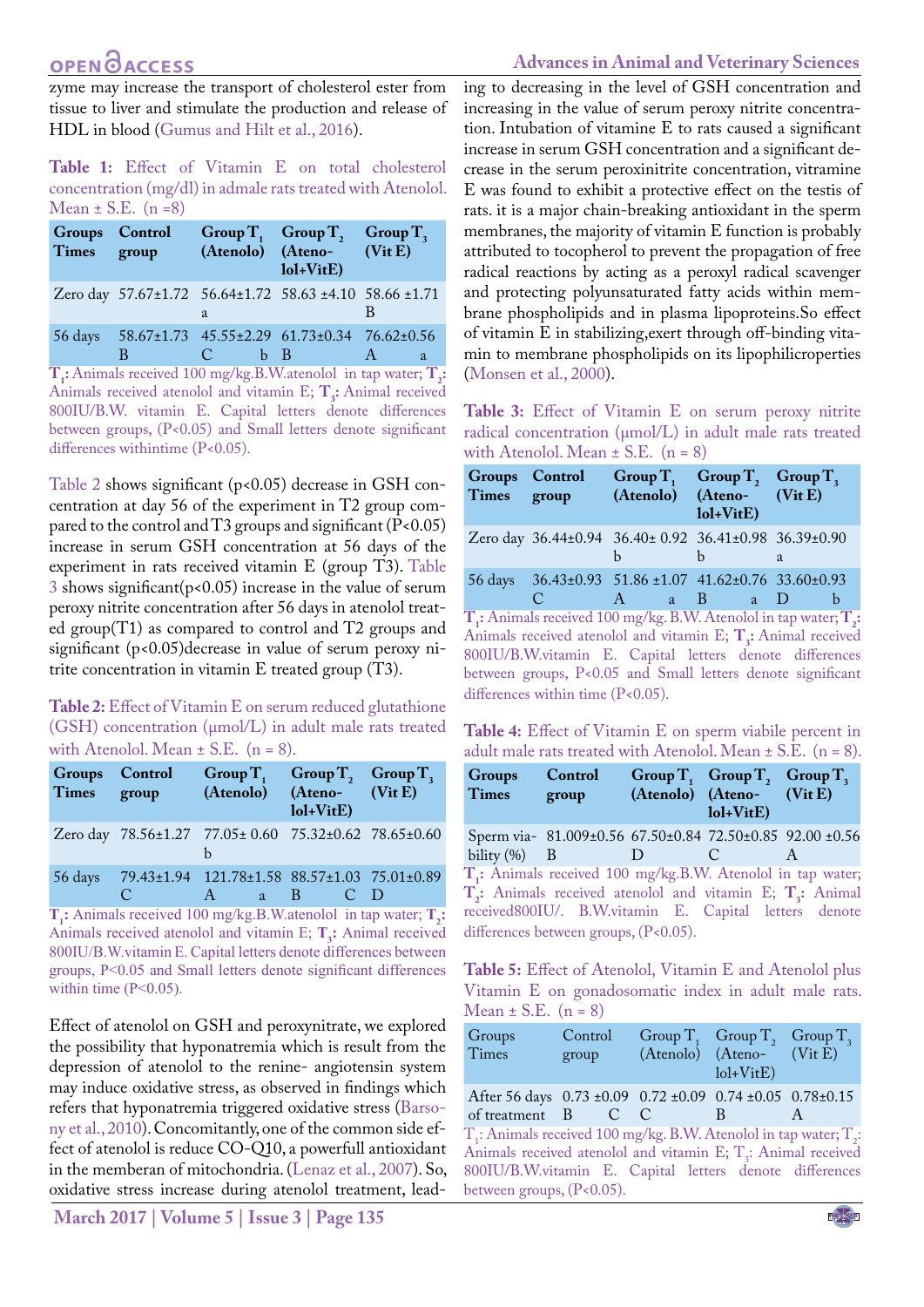## **OPEN**<sub>d</sub>

### **Advances in Animal and Veterinary Sciences**

zyme may increase the transport of cholesterol ester from tissue to liver and stimulate the production and release of HDL in blood [\(Gumus and Hilt et al., 2016\)](#page-5-16).

<span id="page-2-0"></span>**Table 1:** Effect of Vitamin E on total cholesterol concentration (mg/dl) in admale rats treated with Atenolol. Mean  $\pm$  S.E. (n =8)

| Groups Control<br>Times group |   |           | Group T, Group T,<br>(Atenolo) (Ateno- (Vit E)<br>$101+V$ it $E$ ) | Group $T_{\rm a}$ |
|-------------------------------|---|-----------|--------------------------------------------------------------------|-------------------|
|                               |   | a         | Zero day 57.67±1.72 56.64±1.72 58.63 ±4.10 58.66 ±1.71             |                   |
|                               | B | C.<br>b B | 56 days 58.67±1.73 45.55±2.29 61.73±0.34 76.62±0.56                | a                 |

**T<sub>1</sub>:** Animals received 100 mg/kg.B.W.atenolol in tap water; **T**<sub>2</sub>: Animals received atenolol and vitamin E; **T<sub>3</sub>:** Animal received 800IU/B.W. vitamin E. Capital letters denote differences between groups, (P<0.05) and Small letters denote significant differences withintime (P<0.05).

[Table 2](#page-2-1) shows significant (p<0.05) decrease in GSH concentration at day 56 of the experiment in T2 group compared to the control and T3 groups and significant ( $P<0.05$ ) increase in serum GSH concentration at 56 days of the experiment in rats received vitamin E (group T3). [Table](#page-2-2)  [3](#page-2-2) shows significant( $p$ <0.05) increase in the value of serum peroxy nitrite concentration after 56 days in atenolol treated group(T1) as compared to control and T2 groups and significant (p<0.05)decrease in value of serum peroxy nitrite concentration in vitamin E treated group (T3).

#### <span id="page-2-1"></span>**Table 2:** Effect of Vitamin E on serum reduced glutathione (GSH) concentration (µmol/L) in adult male rats treated with Atenolol. Mean  $\pm$  S.E. (n = 8).

| <b>Groups</b><br>Times group | <b>Control</b>             | Group $T_1$ Group $T_2$ , Group $T_3$<br>(Atenolo) (Ateno- (Vit E)                  | $\text{Iol+VitE}$                                                                                                              |                   |
|------------------------------|----------------------------|-------------------------------------------------------------------------------------|--------------------------------------------------------------------------------------------------------------------------------|-------------------|
|                              |                            | Zero day 78.56±1.27 77.05± 0.60 75.32±0.62 78.65±0.60                               |                                                                                                                                |                   |
| <b>Property</b><br>$\sim$    | C.<br>$\sim$ $\sim$ $\sim$ | 56 days 79.43±1.94 121.78±1.58 88.57±1.03 75.01±0.89<br>$A \quad \blacksquare$<br>a | $-B$<br><b>Contact Service Contact Service Contact Service Contact Service Contact Service Contact Service Contact Service</b> | <b>CONTRACTOR</b> |

**T<sub>1</sub>:** Animals received 100 mg/kg.B.W.atenolol in tap water; **T<sub>2</sub>**: Animals received atenolol and vitamin E; T<sub>3</sub>: Animal received 800IU/B.W.vitamin E. Capital letters denote differences between groups, P<0.05 and Small letters denote significant differences within time  $(P<0.05)$ .

Effect of atenolol on GSH and peroxynitrate, we explored the possibility that hyponatremia which is result from the depression of atenolol to the renine- angiotensin system may induce oxidative stress, as observed in findings which refers that hyponatremia triggered oxidative stress [\(Barso](#page-5-17)[ny et al., 2010](#page-5-17)). Concomitantly, one of the common side effect of atenolol is reduce CO-Q10, a powerfull antioxidant in the memberan of mitochondria. [\(Lenaz et al., 2007](#page-5-18)). So, oxidative stress increase during atenolol treatment, lead-

**March 2017 | Volume 5 | Issue 3 | Page 135**

ing to decreasing in the level of GSH concentration and increasing in the value of serum peroxy nitrite concentration. Intubation of vitamine E to rats caused a significant increase in serum GSH concentration and a significant decrease in the serum peroxinitrite concentration, vitramine E was found to exhibit a protective effect on the testis of rats. it is a major chain-breaking antioxidant in the sperm membranes, the majority of vitamin E function is probably attributed to tocopherol to prevent the propagation of free radical reactions by acting as a peroxyl radical scavenger and protecting polyunsaturated fatty acids within membrane phospholipids and in plasma lipoproteins.So effect of vitamin E in stabilizing,exert through off-binding vitamin to membrane phospholipids on its lipophilicroperties ([Monsen et al., 2000\)](#page-5-19).

<span id="page-2-2"></span>**Table 3:** Effect of Vitamin E on serum peroxy nitrite radical concentration (µmol/L) in adult male rats treated with Atenolol. Mean  $\pm$  S.E. (n = 8)

| Times group           |                                                 | Groups Control Group $T_1$ Group $T_2$ Group $T_3$<br>(Atenolo) (Ateno- (Vit E)                                      | $101+V$ it $E$ )              |   |
|-----------------------|-------------------------------------------------|----------------------------------------------------------------------------------------------------------------------|-------------------------------|---|
|                       |                                                 | Zero day 36.44±0.94 36.40± 0.92 36.41±0.98 36.39±0.90                                                                | h                             | a |
| $\overline{ }$<br>- 4 | $\subset$<br>$\sim$ $\sim$ $\sim$ $\sim$ $\sim$ | 56 days 36.43±0.93 51.86 ±1.07 41.62±0.76 33.60±0.93<br>$\mathsf{A}$<br>$a \quad B$<br>$\mathbf{r}$<br><b>TYTT A</b> | <sub>a</sub><br>$\sim$ $\sim$ | b |

**T1 :** Animals received 100 mg/kg. B.W. Atenolol in tap water; **T2 :** Animals received atenolol and vitamin E;  $\mathbf{T}_3$ : Animal received 800IU/B.W.vitamin E. Capital letters denote differences between groups, P<0.05 and Small letters denote significant differences within time (P<0.05).

**Table 4:** Effect of Vitamin E on sperm viabile percent in adult male rats treated with Atenolol. Mean  $\pm$  S.E. (n = 8).

| Groups<br>Times | Control<br>group                      | (Atenolo) (Ateno- (Vit E) | $101+V$ itE) | Group $T_1$ Group $T_2$ Group $T_3$                                                                                                                                                                      |
|-----------------|---------------------------------------|---------------------------|--------------|----------------------------------------------------------------------------------------------------------------------------------------------------------------------------------------------------------|
| bility $(\%)$ B |                                       |                           |              | Sperm via- 81.009±0.56 67.50±0.84 72.50±0.85 92.00 ±0.56                                                                                                                                                 |
|                 | differences between groups, (P<0.05). |                           |              | T.: Animals received 100 mg/kg.B.W. Atenolol in tap water;<br>T <sub>3</sub> : Animals received atenolol and vitamin E; T <sub>3</sub> : Animal<br>received800IU/. B.W.vitamin E. Capital letters denote |

**Table 5:** Effect of Atenolol, Vitamin E and Atenolol plus Vitamin E on gonadosomatic index in adult male rats. Mean  $\pm$  S.E. (n = 8)

| Groups<br>Times                                                                                                                                                                                                                             | Control<br>group | Group $T_1$ Group $T_2$ Group $T_3$<br>(Atenolo) (Ateno- (Vit E)<br>$\text{Iol+VitE}$ |   |
|---------------------------------------------------------------------------------------------------------------------------------------------------------------------------------------------------------------------------------------------|------------------|---------------------------------------------------------------------------------------|---|
| After 56 days 0.73 ±0.09 0.72 ±0.09 0.74 ±0.05 0.78±0.15<br>of treatment B C C                                                                                                                                                              |                  | B                                                                                     | A |
| $T$ ; Animals received 100 mg/kg. B.W. Atenolol in tap water; $T$ <sub>2</sub> :<br>Animals received atenolol and vitamin E; $T3$ : Animal received<br>800IU/B.W.vitamin E. Capital letters denote differences<br>between groups, (P<0.05). |                  |                                                                                       |   |

NE**X**US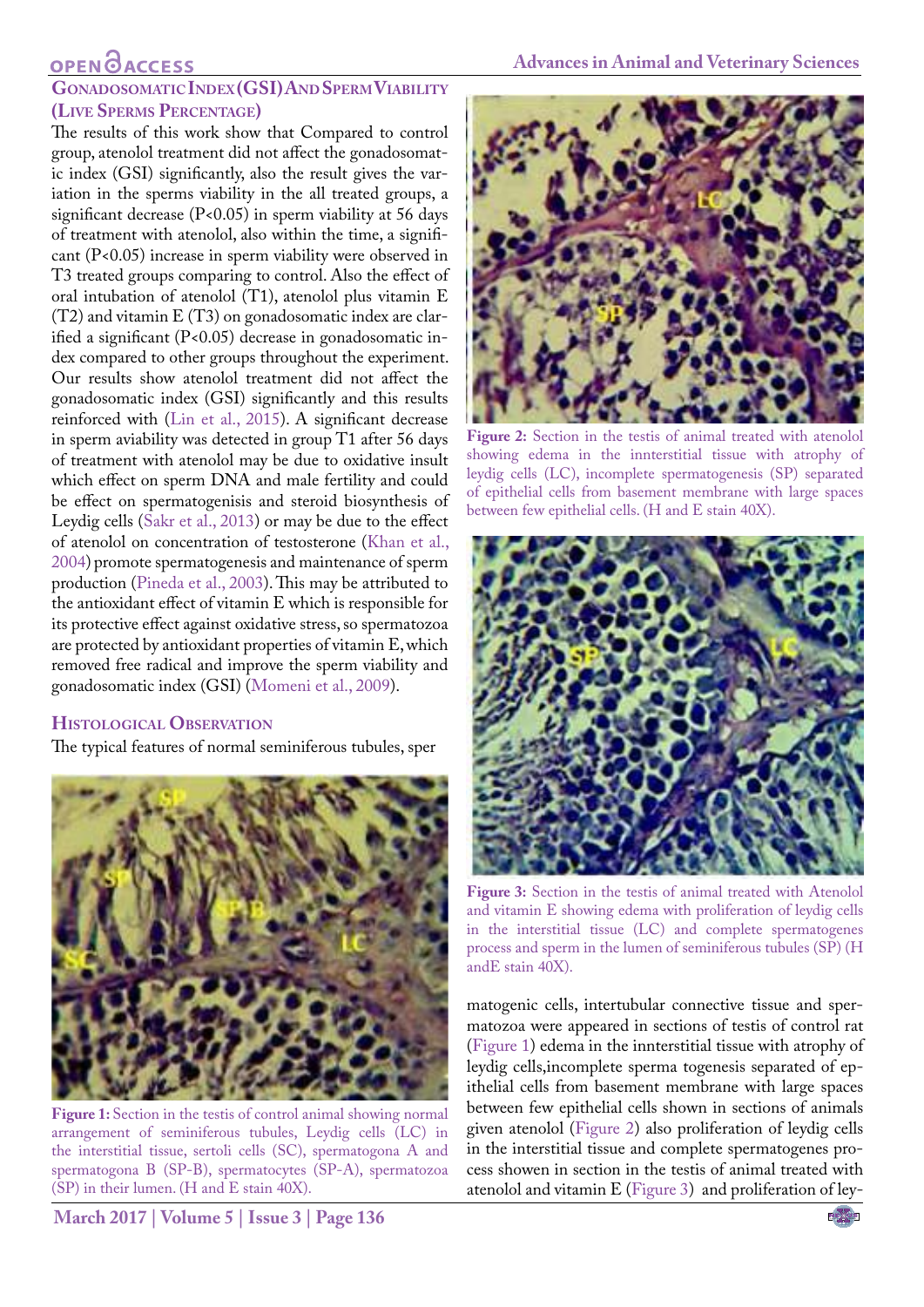## **OPEN**<sub>d</sub>

### **GonadosomaticIndex (GSI) And Sperm Viability (Live Sperms Percentage)**

The results of this work show that Compared to control group, atenolol treatment did not affect the gonadosomatic index (GSI) significantly, also the result gives the variation in the sperms viability in the all treated groups, a significant decrease (P<0.05) in sperm viability at 56 days of treatment with atenolol, also within the time, a significant (P<0.05) increase in sperm viability were observed in T3 treated groups comparing to control. Also the effect of oral intubation of atenolol (T1), atenolol plus vitamin E (T2) and vitamin E (T3) on gonadosomatic index are clarified a significant (P<0.05) decrease in gonadosomatic index compared to other groups throughout the experiment. Our results show atenolol treatment did not affect the gonadosomatic index (GSI) significantly and this results reinforced with (Lin et [al., 2015](#page-5-20)). A significant decrease in sperm aviability was detected in group T1 after 56 days of treatment with atenolol may be due to oxidative insult which effect on sperm DNA and male fertility and could be effect on spermatogenisis and steroid biosynthesis of Leydig cells [\(Sakr et al., 2013\)](#page-5-5) or may be due to the effect of atenolol on concentration of testosterone ([Khan et al.,](#page-6-0)  [2004](#page-6-0)) promote spermatogenesis and maintenance of sperm production ([Pineda et al., 2003\)](#page-6-1). This may be attributed to the antioxidant effect of vitamin E which is responsible for its protective effect against oxidative stress, so spermatozoa are protected by antioxidant properties of vitamin E, which removed free radical and improve the sperm viability and gonadosomatic index (GSI) ([Momeni et al., 2009](#page-6-2)).

### **Histological Observation**

The typical features of normal seminiferous tubules, sper



**Figure 1:** Section in the testis of control animal showing normal arrangement of seminiferous tubules, Leydig cells (LC) in the interstitial tissue, sertoli cells (SC), spermatogona A and spermatogona B (SP-B), spermatocytes (SP-A), spermatozoa (SP) in their lumen. (H and E stain 40X).



**Figure 2:** Section in the testis of animal treated with atenolol showing edema in the innterstitial tissue with atrophy of leydig cells (LC), incomplete spermatogenesis (SP) separated of epithelial cells from basement membrane with large spaces between few epithelial cells. (H and E stain 40X).

<span id="page-3-1"></span>

**Figure 3:** Section in the testis of animal treated with Atenolol and vitamin E showing edema with proliferation of leydig cells in the interstitial tissue (LC) and complete spermatogenes process and sperm in the lumen of seminiferous tubules (SP) (H andE stain 40X).

<span id="page-3-2"></span>matogenic cells, intertubular connective tissue and spermatozoa were appeared in sections of testis of control rat [\(Figure 1\)](#page-3-0) edema in the innterstitial tissue with atrophy of leydig cells,incomplete sperma togenesis separated of epithelial cells from basement membrane with large spaces between few epithelial cells shown in sections of animals given atenolol ([Figure 2\)](#page-3-1) also proliferation of leydig cells in the interstitial tissue and complete spermatogenes process showen in section in the testis of animal treated with atenolol and vitamin E ([Figure 3\)](#page-3-2) and proliferation of ley-

<span id="page-3-0"></span>**March 2017 | Volume 5 | Issue 3 | Page 136**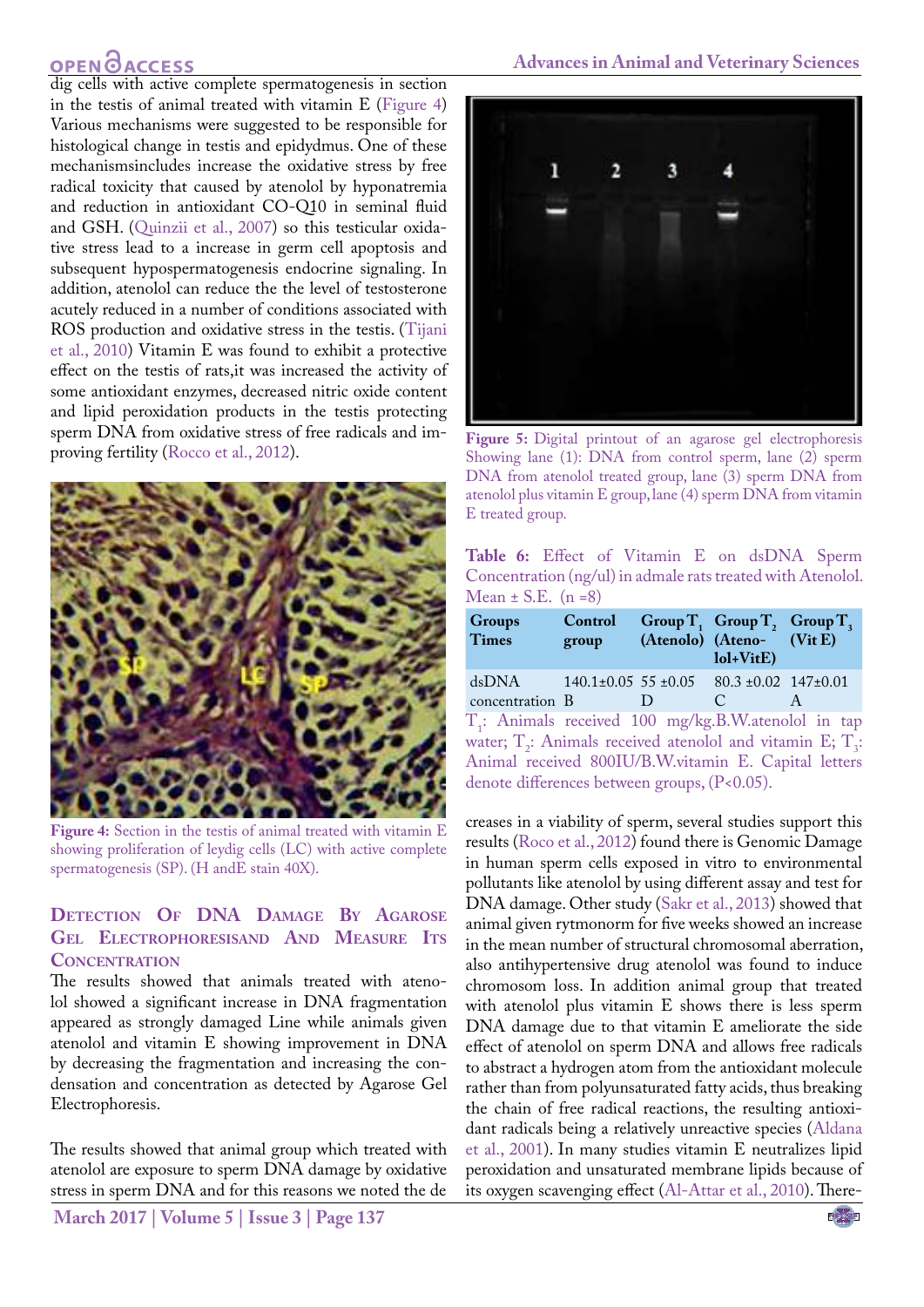## **OPEN**OACCESS

dig cells with active complete spermatogenesis in section in the testis of animal treated with vitamin E [\(Figure 4](#page-4-0)) Various mechanisms were suggested to be responsible for histological change in testis and epidydmus. One of these mechanismsincludes increase the oxidative stress by free radical toxicity that caused by atenolol by hyponatremia and reduction in antioxidant CO-Q10 in seminal fluid and GSH. (Quinzii et al., 2007) so this testicular oxidative stress lead to a increase in germ cell apoptosis and subsequent hypospermatogenesis endocrine signaling. In addition, atenolol can reduce the the level of testosterone acutely reduced in a number of conditions associated with ROS production and oxidative stress in the testis. ([Tijani](#page-6-3) [et al., 2010](#page-6-3)) Vitamin E was found to exhibit a protective effect on the testis of rats,it was increased the activity of some antioxidant enzymes, decreased nitric oxide content and lipid peroxidation products in the testis protecting sperm DNA from oxidative stress of free radicals and improving fertility [\(Rocco et al., 2012\)](#page-5-3).



**Figure 4:** Section in the testis of animal treated with vitamin E showing proliferation of leydig cells (LC) with active complete spermatogenesis (SP). (H andE stain 40X).

### <span id="page-4-0"></span>**Detection Of DNA Damage By Agarose Gel Electrophoresisand And Measure Its Concentration**

The results showed that animals treated with atenolol showed a significant increase in DNA fragmentation appeared as strongly damaged Line while animals given atenolol and vitamin E showing improvement in DNA by decreasing the fragmentation and increasing the condensation and concentration as detected by Agarose Gel Electrophoresis.

The results showed that animal group which treated with atenolol are exposure to sperm DNA damage by oxidative stress in sperm DNA and for this reasons we noted the de



**Figure 5:** Digital printout of an agarose gel electrophoresis Showing lane (1): DNA from control sperm, lane (2) sperm DNA from atenolol treated group, lane (3) sperm DNA from atenolol plus vitamin E group, lane (4) sperm DNA from vitamin E treated group.

<span id="page-4-1"></span>**Table 6:** Effect of Vitamin E on dsDNA Sperm Concentration (ng/ul) in admale rats treated with Atenolol. Mean  $\pm$  S.E. (n = 8)

| <b>Groups</b><br><b>Times</b>                                                                                                                        | Control<br>group |  | Group $T_1$ Group $T_2$ Group $T_3$<br>(Atenolo) (Ateno- (Vit E)<br>$\text{Iol+VitE}$ |   |
|------------------------------------------------------------------------------------------------------------------------------------------------------|------------------|--|---------------------------------------------------------------------------------------|---|
| dsDNA $140.1 \pm 0.05$ 55 $\pm 0.05$ 80.3 $\pm 0.02$ 147 $\pm 0.01$<br>concentration B                                                               |                  |  | $\mathcal{C}$                                                                         | A |
| T <sub>1</sub> : Animals received 100 mg/kg.B.W.atenolol in tap<br>water; T <sub>2</sub> : Animals received atenolol and vitamin E; T <sub>3</sub> : |                  |  |                                                                                       |   |
| Animal received 800IU/B.W.vitamin E. Capital letters<br>denote differences between groups, (P<0.05).                                                 |                  |  |                                                                                       |   |

creases in a viability of sperm, several studies support this results [\(Roco et al., 2012\)](#page-5-3) found there is Genomic Damage in human sperm cells exposed in vitro to environmental pollutants like atenolol by using different assay and test for DNA damage. Other study [\(Sakr et al., 2013](#page-5-5)) showed that animal given rytmonorm for five weeks showed an increase in the mean number of structural chromosomal aberration, also antihypertensive drug atenolol was found to induce chromosom loss. In addition animal group that treated with atenolol plus vitamin E shows there is less sperm DNA damage due to that vitamin E ameliorate the side effect of atenolol on sperm DNA and allows free radicals to abstract a hydrogen atom from the antioxidant molecule rather than from polyunsaturated fatty acids, thus breaking the chain of free radical reactions, the resulting antioxidant radicals being a relatively unreactive species ([Aldana](#page-6-4)  [et al., 2001](#page-6-4)). In many studies vitamin E neutralizes lipid peroxidation and unsaturated membrane lipids because of its oxygen scavenging effect [\(Al-Attar et al., 2010](#page-6-5)). There-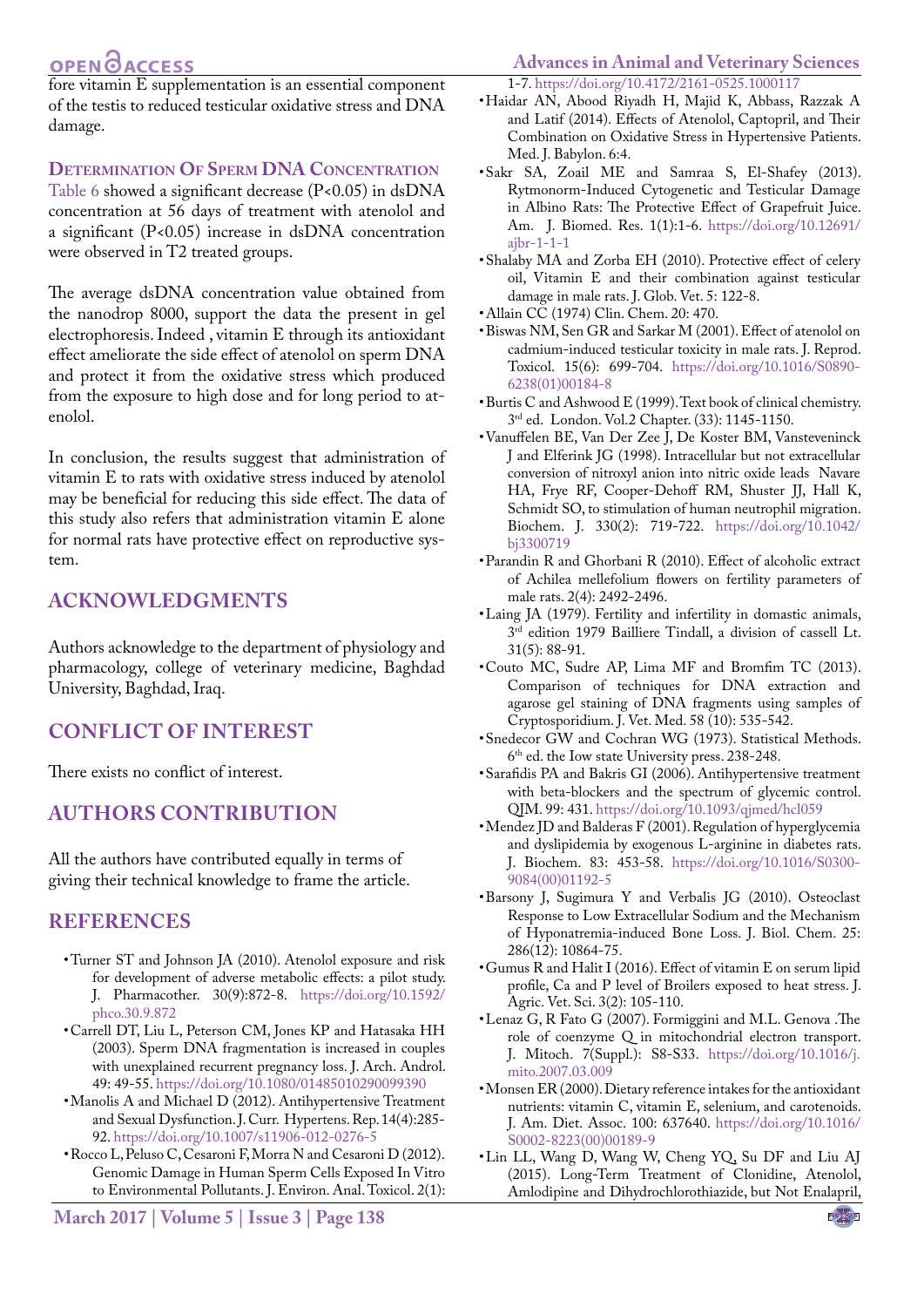## **OPEN**OACCESS

fore vitamin E supplementation is an essential component of the testis to reduced testicular oxidative stress and DNA damage.

### **Determination Of Sperm DNA Concentration**

[Table 6](#page-4-1) showed a significant decrease (P<0.05) in dsDNA concentration at 56 days of treatment with atenolol and a significant (P<0.05) increase in dsDNA concentration were observed in T2 treated groups.

The average dsDNA concentration value obtained from the nanodrop 8000, support the data the present in gel electrophoresis. Indeed , vitamin E through its antioxidant effect ameliorate the side effect of atenolol on sperm DNA and protect it from the oxidative stress which produced from the exposure to high dose and for long period to atenolol.

In conclusion, the results suggest that administration of vitamin E to rats with oxidative stress induced by atenolol may be beneficial for reducing this side effect. The data of this study also refers that administration vitamin E alone for normal rats have protective effect on reproductive system.

## **Acknowledgments**

Authors acknowledge to the department of physiology and pharmacology, college of veterinary medicine, Baghdad University, Baghdad, Iraq.

## **Conflict Of Interest**

There exists no conflict of interest.

## **Authors Contribution**

All the authors have contributed equally in terms of giving their technical knowledge to frame the article.

### **References**

- <span id="page-5-0"></span>• Turner ST and Johnson JA (2010). Atenolol exposure and risk for development of adverse metabolic effects: a pilot study. J. Pharmacother. 30(9):872-8. [https://doi.org/10.1592/](https://doi.org/10.1592/phco.30.9.872) [phco.30.9.872](https://doi.org/10.1592/phco.30.9.872)
- <span id="page-5-1"></span>• Carrell DT, Liu L, Peterson CM, Jones KP and Hatasaka HH (2003). Sperm DNA fragmentation is increased in couples with unexplained recurrent pregnancy loss. J. Arch. Androl. 49: 49-55. <https://doi.org/10.1080/01485010290099390>
- <span id="page-5-2"></span>• Manolis A and Michael D (2012). Antihypertensive Treatment and Sexual Dysfunction. J. Curr. Hypertens. Rep. 14(4):285- 92.<https://doi.org/10.1007/s11906-012-0276-5>
- <span id="page-5-3"></span>• Rocco L, Peluso C, Cesaroni F, Morra N and Cesaroni D (2012). Genomic Damage in Human Sperm Cells Exposed In Vitro to Environmental Pollutants. J. Environ. Anal. Toxicol. 2(1):

## **Advances in Animal and Veterinary Sciences**

<span id="page-5-4"></span>1-7. <https://doi.org/10.4172/2161-0525.1000117>

- • Haidar AN, Abood Riyadh H, Majid K, Abbass, Razzak A and Latif (2014). Effects of Atenolol, Captopril, and Their Combination on Oxidative Stress in Hypertensive Patients. Med. J. Babylon. 6:4.
- <span id="page-5-5"></span>• Sakr SA, Zoail ME and Samraa S, El-Shafey (2013). Rytmonorm-Induced Cytogenetic and Testicular Damage in Albino Rats: The Protective Effect of Grapefruit Juice. Am. J. Biomed. Res. 1(1):1-6. [https://doi.org/10.12691/](https://doi.org/10.12691/ajbr-1-1-1) [ajbr-1-1-1](https://doi.org/10.12691/ajbr-1-1-1)
- <span id="page-5-6"></span>• Shalaby MA and Zorba EH (2010). Protective effect of celery oil, Vitamin E and their combination against testicular damage in male rats. J. Glob. Vet. 5: 122-8.
- <span id="page-5-8"></span>• Allain CC (1974) Clin. Chem. 20: 470.
- <span id="page-5-7"></span>• Biswas NM, Sen GR and Sarkar M (2001). Effect of atenolol on cadmium-induced testicular toxicity in male rats. J. Reprod. Toxicol. 15(6): 699-704. [https://doi.org/10.1016/S0890-](https://doi.org/10.1016/S0890-6238(01)00184-8) [6238\(01\)00184-8](https://doi.org/10.1016/S0890-6238(01)00184-8)
- <span id="page-5-9"></span>• Burtis C and Ashwood E (1999). Text book of clinical chemistry. 3rd ed. London. Vol.2 Chapter. (33): 1145-1150.
- <span id="page-5-10"></span>• Vanuffelen BE, Van Der Zee J, De Koster BM, Vansteveninck J and Elferink JG (1998). Intracellular but not extracellular conversion of nitroxyl anion into nitric oxide leads Navare HA, Frye RF, Cooper-Dehoff RM, Shuster JJ, Hall K, Schmidt SO, to stimulation of human neutrophil migration. Biochem. J. 330(2): 719-722. [https://doi.org/10.1042/](https://doi.org/10.1042/bj3300719) [bj3300719](https://doi.org/10.1042/bj3300719)
- <span id="page-5-11"></span>• Parandin R and Ghorbani R (2010). Effect of alcoholic extract of Achilea mellefolium flowers on fertility parameters of male rats. 2(4): 2492-2496.
- <span id="page-5-12"></span>• Laing JA (1979). Fertility and infertility in domastic animals, 3rd edition 1979 Bailliere Tindall, a division of cassell Lt. 31(5): 88-91.
- <span id="page-5-13"></span>• Couto MC, Sudre AP, Lima MF and Bromfim TC (2013). Comparison of techniques for DNA extraction and agarose gel staining of DNA fragments using samples of Cryptosporidium. J. Vet. Med. 58 (10): 535-542.
- <span id="page-5-14"></span>• Snedecor GW and Cochran WG (1973). Statistical Methods. 6<sup>th</sup> ed. the Iow state University press. 238-248.
- <span id="page-5-15"></span>• Sarafidis PA and Bakris GI (2006). Antihypertensive treatment with beta-blockers and the spectrum of glycemic control. QJM. 99: 431. <https://doi.org/10.1093/qjmed/hcl059>
- • Mendez JD and Balderas F (2001). Regulation of hyperglycemia and dyslipidemia by exogenous L-arginine in diabetes rats. J. Biochem. 83: 453-58. [https://doi.org/10.1016/S0300-](https://doi.org/10.1016/S0300-9084(00)01192-5) [9084\(00\)01192-5](https://doi.org/10.1016/S0300-9084(00)01192-5)
- <span id="page-5-17"></span>• Barsony J, Sugimura Y and Verbalis JG (2010). Osteoclast Response to Low Extracellular Sodium and the Mechanism of Hyponatremia-induced Bone Loss. J. Biol. Chem. 25: 286(12): 10864-75.
- <span id="page-5-16"></span>• Gumus R and Halit I (2016). Effect of vitamin E on serum lipid profile, Ca and P level of Broilers exposed to heat stress. J. Agric. Vet. Sci. 3(2): 105-110.
- <span id="page-5-18"></span>• Lenaz G, R Fato G (2007). Formiggini and M.L. Genova .The role of coenzyme Q in mitochondrial electron transport. J. Mitoch. 7(Suppl.): S8-S33. [https://doi.org/10.1016/j.](https://doi.org/10.1016/j.mito.2007.03.009) [mito.2007.03.009](https://doi.org/10.1016/j.mito.2007.03.009)
- <span id="page-5-19"></span>• Monsen ER (2000). Dietary reference intakes for the antioxidant nutrients: vitamin C, vitamin E, selenium, and carotenoids. J. Am. Diet. Assoc. 100: 637640. [https://doi.org/10.1016/](https://doi.org/10.1016/S0002-8223(00)00189-9) [S0002-8223\(00\)00189-9](https://doi.org/10.1016/S0002-8223(00)00189-9)
- <span id="page-5-20"></span>•Lin LL, Wang D, Wang W, Cheng YQ, Su DF and Liu AJ (2015). Long-Term Treatment of Clonidine, Atenolol, Amlodipine and Dihydrochlorothiazide, but Not Enalapril,